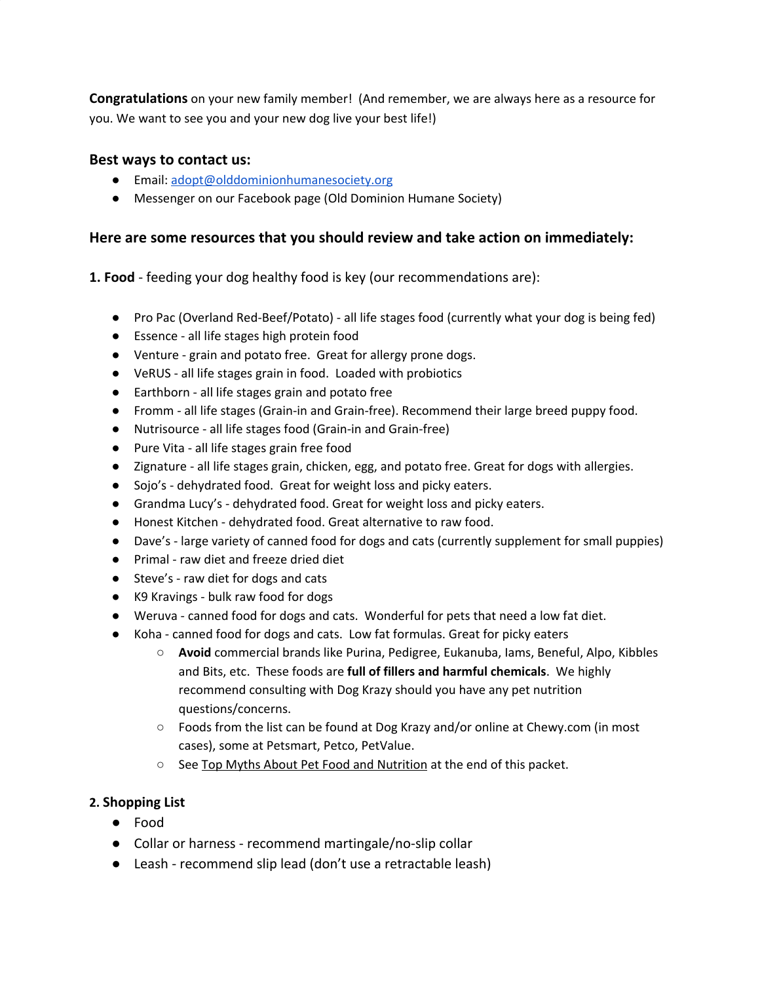**Congratulations** on your new family member! (And remember, we are always here as a resource for you. We want to see you and your new dog live your best life!)

### **Best ways to contact us:**

- Email: [adopt@olddominionhumanesociety.org](mailto:adopt@olddominionhumanesociety.org)
- Messenger on our Facebook page (Old Dominion Humane Society)

### **Here are some resources that you should review and take action on immediately:**

**1. Food** - feeding your dog healthy food is key (our recommendations are):

- Pro Pac (Overland Red-Beef/Potato) all life stages food (currently what your dog is being fed)
- Essence all life stages high protein food
- Venture grain and potato free. Great for allergy prone dogs.
- VeRUS all life stages grain in food. Loaded with probiotics
- Earthborn all life stages grain and potato free
- Fromm all life stages (Grain-in and Grain-free). Recommend their large breed puppy food.
- Nutrisource all life stages food (Grain-in and Grain-free)
- Pure Vita all life stages grain free food
- Zignature all life stages grain, chicken, egg, and potato free. Great for dogs with allergies.
- Sojo's dehydrated food. Great for weight loss and picky eaters.
- Grandma Lucy's dehydrated food. Great for weight loss and picky eaters.
- Honest Kitchen dehydrated food. Great alternative to raw food.
- Dave's large variety of canned food for dogs and cats (currently supplement for small puppies)
- Primal raw diet and freeze dried diet
- Steve's raw diet for dogs and cats
- K9 Kravings bulk raw food for dogs
- Weruva canned food for dogs and cats. Wonderful for pets that need a low fat diet.
- Koha canned food for dogs and cats. Low fat formulas. Great for picky eaters
	- **Avoid** commercial brands like Purina, Pedigree, Eukanuba, Iams, Beneful, Alpo, Kibbles and Bits, etc. These foods are **full of fillers and harmful chemicals**. We highly recommend consulting with Dog Krazy should you have any pet nutrition questions/concerns.
	- Foods from the list can be found at Dog Krazy and/or online at Chewy.com (in most cases), some at Petsmart, Petco, PetValue.
	- See Top Myths About Pet Food and Nutrition at the end of this packet.

# **2. Shopping List**

- Food
- Collar or harness recommend martingale/no-slip collar
- Leash recommend slip lead (don't use a retractable leash)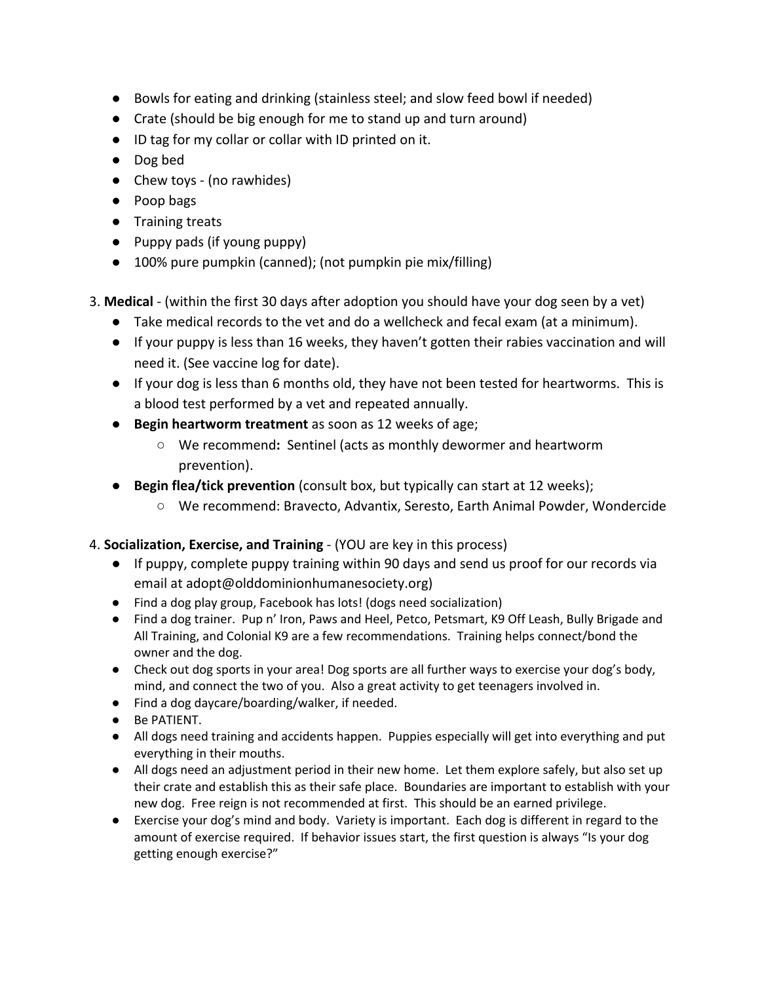- Bowls for eating and drinking (stainless steel; and slow feed bowl if needed)
- Crate (should be big enough for me to stand up and turn around)
- ID tag for my collar or collar with ID printed on it.
- Dog bed
- Chew toys (no rawhides)
- Poop bags
- Training treats
- Puppy pads (if young puppy)
- 100% pure pumpkin (canned); (not pumpkin pie mix/filling)
- 3. **Medical**  (within the first 30 days after adoption you should have your dog seen by a vet)
	- Take medical records to the vet and do a wellcheck and fecal exam (at a minimum).
	- If your puppy is less than 16 weeks, they haven't gotten their rabies vaccination and will need it. (See vaccine log for date).
	- If your dog is less than 6 months old, they have not been tested for heartworms. This is a blood test performed by a vet and repeated annually.
	- **Begin heartworm treatment** as soon as 12 weeks of age;
		- We recommend**:** Sentinel (acts as monthly dewormer and heartworm prevention).
	- **Begin flea/tick prevention** (consult box, but typically can start at 12 weeks);
		- We recommend: Bravecto, Advantix, Seresto, Earth Animal Powder, Wondercide

# 4. **Socialization, Exercise, and Training** - (YOU are key in this process)

- If puppy, complete puppy training within 90 days and send us proof for our records via email at adopt@olddominionhumanesociety.org)
- Find a dog play group, Facebook has lots! (dogs need socialization)
- Find a dog trainer. Pup n' Iron, Paws and Heel, Petco, Petsmart, K9 Off Leash, Bully Brigade and All Training, and Colonial K9 are a few recommendations. Training helps connect/bond the owner and the dog.
- Check out dog sports in your area! Dog sports are all further ways to exercise your dog's body, mind, and connect the two of you. Also a great activity to get teenagers involved in.
- Find a dog daycare/boarding/walker, if needed.
- Be PATIENT.
- All dogs need training and accidents happen. Puppies especially will get into everything and put everything in their mouths.
- All dogs need an adjustment period in their new home. Let them explore safely, but also set up their crate and establish this as their safe place. Boundaries are important to establish with your new dog. Free reign is not recommended at first. This should be an earned privilege.
- Exercise your dog's mind and body. Variety is important. Each dog is different in regard to the amount of exercise required. If behavior issues start, the first question is always "Is your dog getting enough exercise?"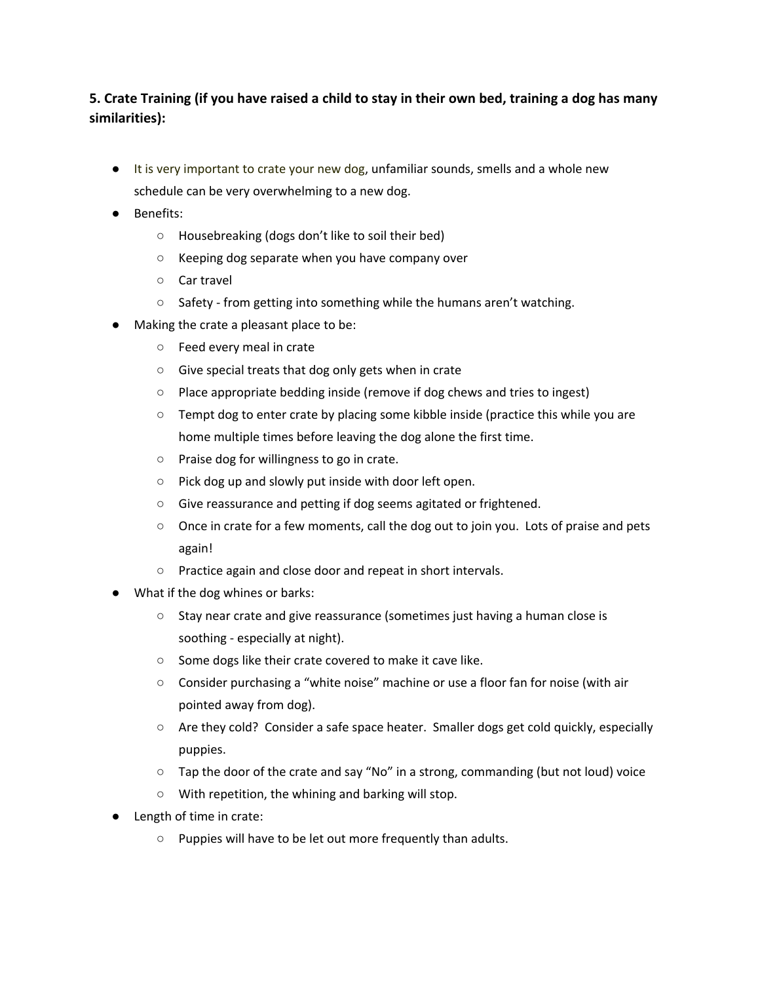# **5. Crate Training (if you have raised a child to stay in their own bed, training a dog has many similarities):**

- It is very important to crate your new dog, unfamiliar sounds, smells and a whole new schedule can be very overwhelming to a new dog.
- Benefits:
	- Housebreaking (dogs don't like to soil their bed)
	- Keeping dog separate when you have company over
	- Car travel
	- Safety from getting into something while the humans aren't watching.
- Making the crate a pleasant place to be:
	- Feed every meal in crate
	- Give special treats that dog only gets when in crate
	- Place appropriate bedding inside (remove if dog chews and tries to ingest)
	- Tempt dog to enter crate by placing some kibble inside (practice this while you are home multiple times before leaving the dog alone the first time.
	- Praise dog for willingness to go in crate.
	- Pick dog up and slowly put inside with door left open.
	- Give reassurance and petting if dog seems agitated or frightened.
	- Once in crate for a few moments, call the dog out to join you. Lots of praise and pets again!
	- Practice again and close door and repeat in short intervals.
- What if the dog whines or barks:
	- Stay near crate and give reassurance (sometimes just having a human close is soothing - especially at night).
	- Some dogs like their crate covered to make it cave like.
	- Consider purchasing a "white noise" machine or use a floor fan for noise (with air pointed away from dog).
	- Are they cold? Consider a safe space heater. Smaller dogs get cold quickly, especially puppies.
	- Tap the door of the crate and say "No" in a strong, commanding (but not loud) voice
	- With repetition, the whining and barking will stop.
- Length of time in crate:
	- Puppies will have to be let out more frequently than adults.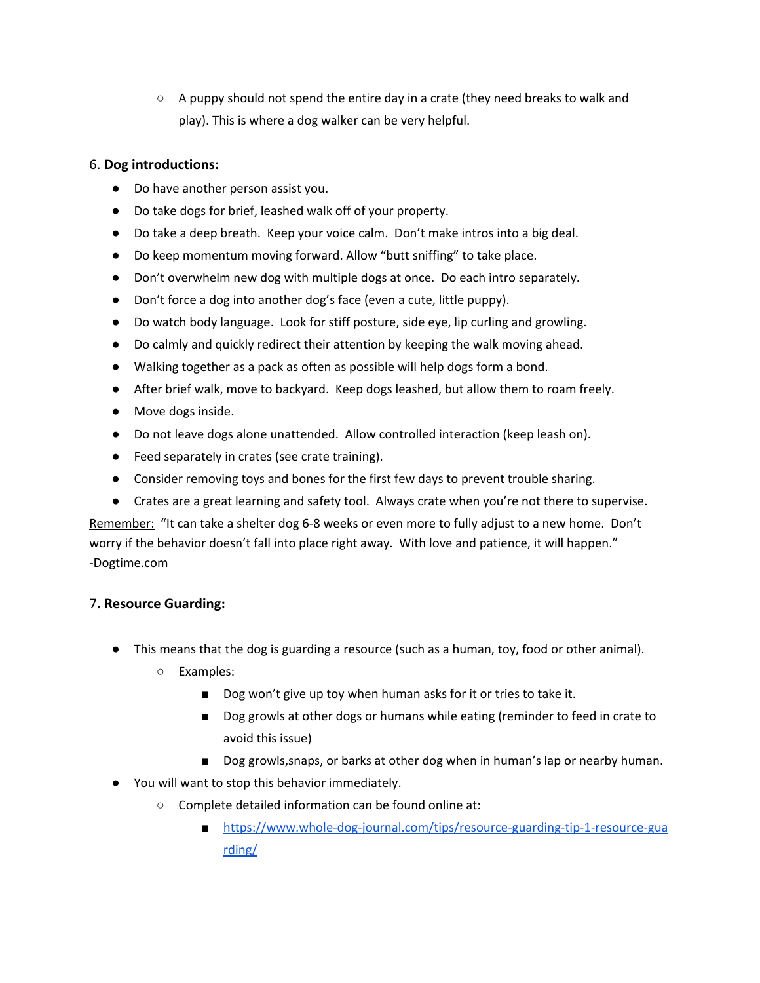$\circ$  A puppy should not spend the entire day in a crate (they need breaks to walk and play). This is where a dog walker can be very helpful.

### 6. **Dog introductions:**

- Do have another person assist you.
- Do take dogs for brief, leashed walk off of your property.
- Do take a deep breath. Keep your voice calm. Don't make intros into a big deal.
- Do keep momentum moving forward. Allow "butt sniffing" to take place.
- Don't overwhelm new dog with multiple dogs at once. Do each intro separately.
- Don't force a dog into another dog's face (even a cute, little puppy).
- Do watch body language. Look for stiff posture, side eye, lip curling and growling.
- Do calmly and quickly redirect their attention by keeping the walk moving ahead.
- Walking together as a pack as often as possible will help dogs form a bond.
- After brief walk, move to backyard. Keep dogs leashed, but allow them to roam freely.
- Move dogs inside.
- Do not leave dogs alone unattended. Allow controlled interaction (keep leash on).
- Feed separately in crates (see crate training).
- Consider removing toys and bones for the first few days to prevent trouble sharing.
- Crates are a great learning and safety tool. Always crate when you're not there to supervise.

Remember: "It can take a shelter dog 6-8 weeks or even more to fully adjust to a new home. Don't worry if the behavior doesn't fall into place right away. With love and patience, it will happen." -Dogtime.com

# 7**. Resource Guarding:**

- This means that the dog is guarding a resource (such as a human, toy, food or other animal).
	- Examples:
		- Dog won't give up toy when human asks for it or tries to take it.
		- Dog growls at other dogs or humans while eating (reminder to feed in crate to avoid this issue)
		- Dog growls, snaps, or barks at other dog when in human's lap or nearby human.
- You will want to stop this behavior immediately.
	- Complete detailed information can be found online at:
		- [https://www.whole-dog-journal.com/tips/resource-guarding-tip-1-resource-gua](https://www.whole-dog-journal.com/tips/resource-guarding-tip-1-resource-guarding/) [rding/](https://www.whole-dog-journal.com/tips/resource-guarding-tip-1-resource-guarding/)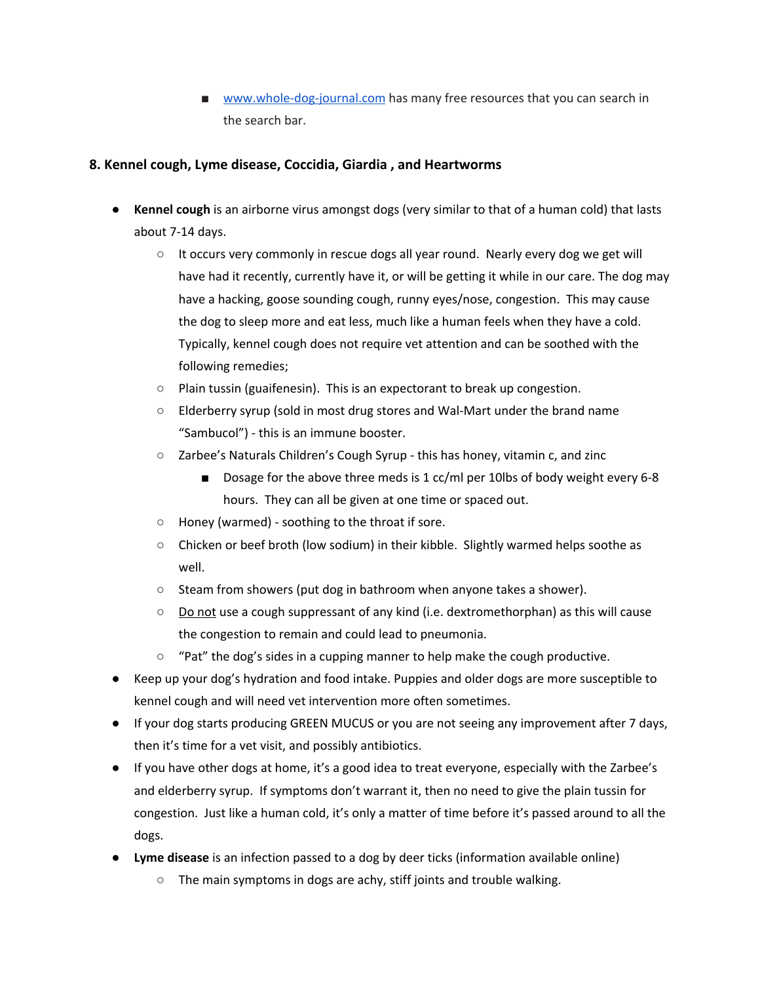■ [www.whole-dog-journal.com](http://www.whole-dog-journal.com/) has many free resources that you can search in the search bar.

### **8. Kennel cough, Lyme disease, Coccidia, Giardia , and Heartworms**

- **Kennel cough** is an airborne virus amongst dogs (very similar to that of a human cold) that lasts about 7-14 days.
	- $\circ$  It occurs very commonly in rescue dogs all year round. Nearly every dog we get will have had it recently, currently have it, or will be getting it while in our care. The dog may have a hacking, goose sounding cough, runny eyes/nose, congestion. This may cause the dog to sleep more and eat less, much like a human feels when they have a cold. Typically, kennel cough does not require vet attention and can be soothed with the following remedies;
	- Plain tussin (guaifenesin). This is an expectorant to break up congestion.
	- Elderberry syrup (sold in most drug stores and Wal-Mart under the brand name "Sambucol") - this is an immune booster.
	- Zarbee's Naturals Children's Cough Syrup this has honey, vitamin c, and zinc
		- Dosage for the above three meds is 1 cc/ml per 10lbs of body weight every 6-8 hours. They can all be given at one time or spaced out.
	- Honey (warmed) soothing to the throat if sore.
	- Chicken or beef broth (low sodium) in their kibble. Slightly warmed helps soothe as well.
	- Steam from showers (put dog in bathroom when anyone takes a shower).
	- Do not use a cough suppressant of any kind (i.e. dextromethorphan) as this will cause the congestion to remain and could lead to pneumonia.
	- $\circ$  "Pat" the dog's sides in a cupping manner to help make the cough productive.
- Keep up your dog's hydration and food intake. Puppies and older dogs are more susceptible to kennel cough and will need vet intervention more often sometimes.
- If your dog starts producing GREEN MUCUS or you are not seeing any improvement after 7 days, then it's time for a vet visit, and possibly antibiotics.
- If you have other dogs at home, it's a good idea to treat everyone, especially with the Zarbee's and elderberry syrup. If symptoms don't warrant it, then no need to give the plain tussin for congestion. Just like a human cold, it's only a matter of time before it's passed around to all the dogs.
- **● Lyme disease** is an infection passed to a dog by deer ticks (information available online)
	- The main symptoms in dogs are achy, stiff joints and trouble walking.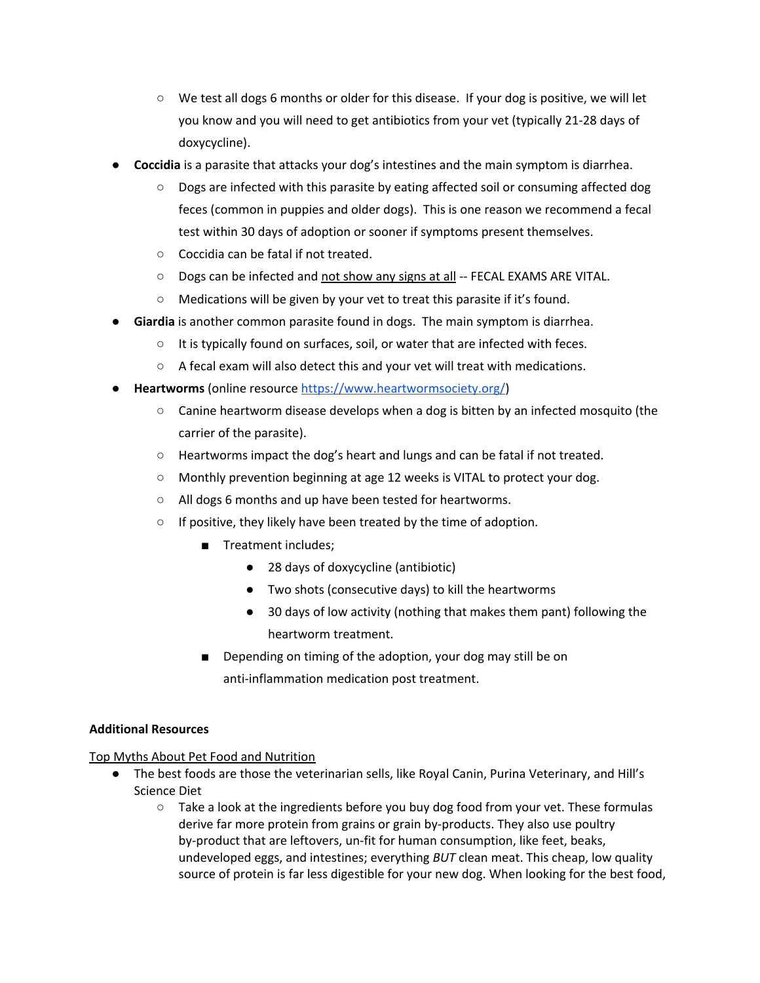- We test all dogs 6 months or older for this disease. If your dog is positive, we will let you know and you will need to get antibiotics from your vet (typically 21-28 days of doxycycline).
- **Coccidia** is a parasite that attacks your dog's intestines and the main symptom is diarrhea.
	- Dogs are infected with this parasite by eating affected soil or consuming affected dog feces (common in puppies and older dogs). This is one reason we recommend a fecal test within 30 days of adoption or sooner if symptoms present themselves.
	- Coccidia can be fatal if not treated.
	- Dogs can be infected and not show any signs at all -- FECAL EXAMS ARE VITAL.
	- Medications will be given by your vet to treat this parasite if it's found.
- **Giardia** is another common parasite found in dogs. The main symptom is diarrhea.
	- It is typically found on surfaces, soil, or water that are infected with feces.
	- A fecal exam will also detect this and your vet will treat with medications.
- **● Heartworms** (online resource <https://www.heartwormsociety.org/>)
	- $\circ$  Canine heartworm disease develops when a dog is bitten by an infected mosquito (the carrier of the parasite).
	- Heartworms impact the dog's heart and lungs and can be fatal if not treated.
	- Monthly prevention beginning at age 12 weeks is VITAL to protect your dog.
	- All dogs 6 months and up have been tested for heartworms.
	- If positive, they likely have been treated by the time of adoption.
		- Treatment includes;
			- 28 days of doxycycline (antibiotic)
			- Two shots (consecutive days) to kill the heartworms
			- 30 days of low activity (nothing that makes them pant) following the heartworm treatment.
		- Depending on timing of the adoption, your dog may still be on anti-inflammation medication post treatment.

#### **Additional Resources**

Top Myths About Pet Food and Nutrition

- The best foods are those the veterinarian sells, like Royal Canin, Purina Veterinary, and Hill's Science Diet
	- $\circ$  Take a look at the ingredients before you buy dog food from your vet. These formulas derive far more protein from grains or grain by-products. They also use poultry by-product that are leftovers, un-fit for human consumption, like feet, beaks, undeveloped eggs, and intestines; everything *BUT* clean meat. This cheap, low quality source of protein is far less digestible for your new dog. When looking for the best food,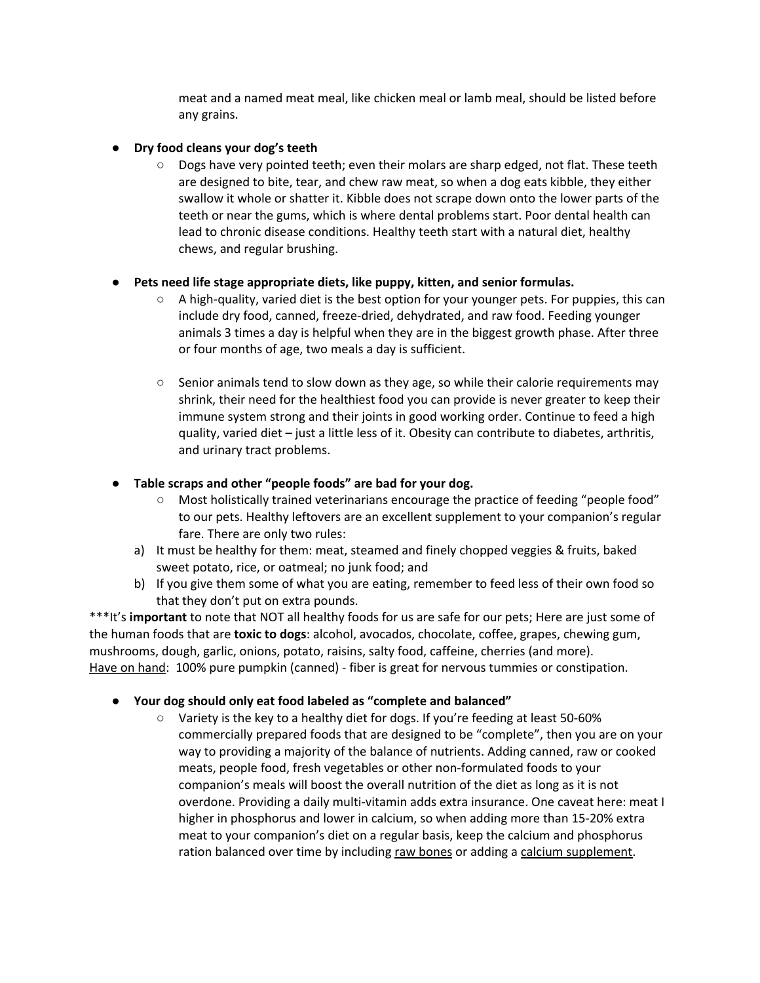meat and a named meat meal, like chicken meal or lamb meal, should be listed before any grains.

#### **● Dry food cleans your dog's teeth**

**○** Dogs have very pointed teeth; even their molars are sharp edged, not flat. These teeth are designed to bite, tear, and chew raw meat, so when a dog eats kibble, they either swallow it whole or shatter it. Kibble does not scrape down onto the lower parts of the teeth or near the gums, which is where dental problems start. Poor dental health can lead to chronic disease conditions. Healthy teeth start with a natural diet, healthy chews, and regular brushing.

#### **● Pets need life stage appropriate diets, like puppy, kitten, and senior formulas.**

- **○** A high-quality, varied diet is the best option for your younger pets. For puppies, this can include dry food, canned, freeze-dried, dehydrated, and raw food. Feeding younger animals 3 times a day is helpful when they are in the biggest growth phase. After three or four months of age, two meals a day is sufficient.
- **○** Senior animals tend to slow down as they age, so while their calorie requirements may shrink, their need for the healthiest food you can provide is never greater to keep their immune system strong and their joints in good working order. Continue to feed a high quality, varied diet – just a little less of it. Obesity can contribute to diabetes, arthritis, and urinary tract problems.

#### **● Table scraps and other "people foods" are bad for your dog.**

- Most holistically trained veterinarians encourage the practice of feeding "people food" to our pets. Healthy leftovers are an excellent supplement to your companion's regular fare. There are only two rules:
- a) It must be healthy for them: meat, steamed and finely chopped veggies & fruits, baked sweet potato, rice, or oatmeal; no junk food; and
- b) If you give them some of what you are eating, remember to feed less of their own food so that they don't put on extra pounds.

\*\*\*It's **important** to note that NOT all healthy foods for us are safe for our pets; Here are just some of the human foods that are **toxic to dogs**: alcohol, avocados, chocolate, coffee, grapes, chewing gum, mushrooms, dough, garlic, onions, potato, raisins, salty food, caffeine, cherries (and more). Have on hand: 100% pure pumpkin (canned) - fiber is great for nervous tummies or constipation.

#### **● Your dog should only eat food labeled as "complete and balanced"**

**○** Variety is the key to a healthy diet for dogs. If you're feeding at least 50-60% commercially prepared foods that are designed to be "complete", then you are on your way to providing a majority of the balance of nutrients. Adding canned, raw or cooked meats, people food, fresh vegetables or other non-formulated foods to your companion's meals will boost the overall nutrition of the diet as long as it is not overdone. Providing a daily multi-vitamin adds extra insurance. One caveat here: meat I higher in phosphorus and lower in calcium, so when adding more than 15-20% extra meat to your companion's diet on a regular basis, keep the calcium and phosphorus ration balanced over time by including raw bones or adding a calcium supplement.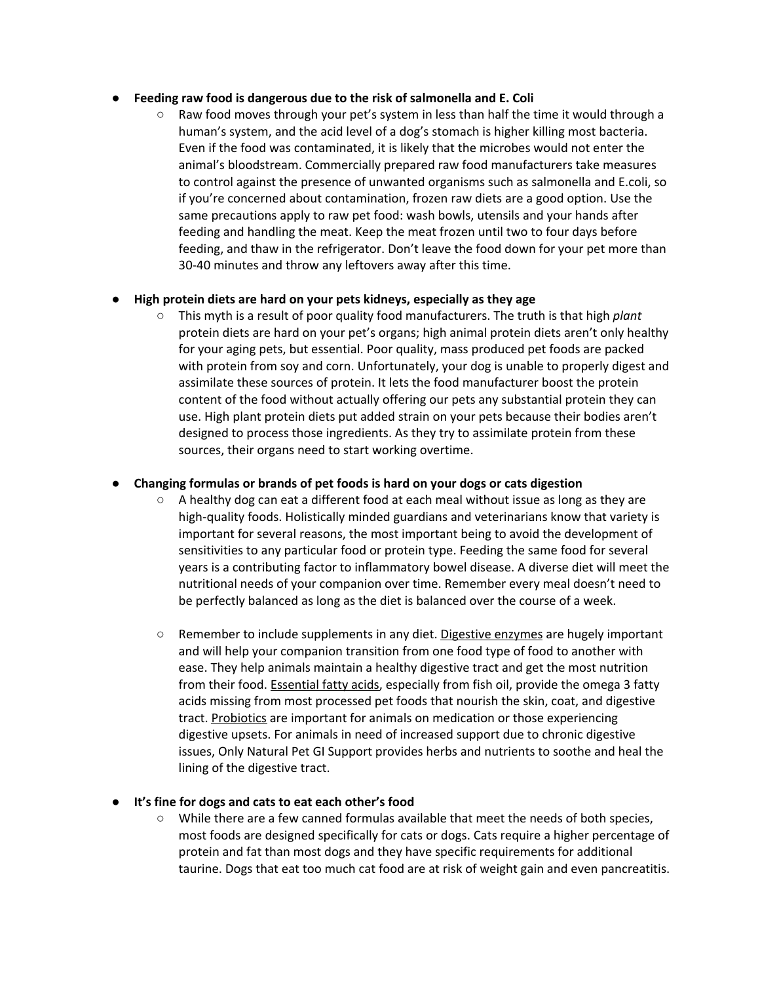#### **● Feeding raw food is dangerous due to the risk of salmonella and E. Coli**

Raw food moves through your pet's system in less than half the time it would through a human's system, and the acid level of a dog's stomach is higher killing most bacteria. Even if the food was contaminated, it is likely that the microbes would not enter the animal's bloodstream. Commercially prepared raw food manufacturers take measures to control against the presence of unwanted organisms such as salmonella and E.coli, so if you're concerned about contamination, frozen raw diets are a good option. Use the same precautions apply to raw pet food: wash bowls, utensils and your hands after feeding and handling the meat. Keep the meat frozen until two to four days before feeding, and thaw in the refrigerator. Don't leave the food down for your pet more than 30-40 minutes and throw any leftovers away after this time.

#### **● High protein diets are hard on your pets kidneys, especially as they age**

**○** This myth is a result of poor quality food manufacturers. The truth is that high *plant* protein diets are hard on your pet's organs; high animal protein diets aren't only healthy for your aging pets, but essential. Poor quality, mass produced pet foods are packed with protein from soy and corn. Unfortunately, your dog is unable to properly digest and assimilate these sources of protein. It lets the food manufacturer boost the protein content of the food without actually offering our pets any substantial protein they can use. High plant protein diets put added strain on your pets because their bodies aren't designed to process those ingredients. As they try to assimilate protein from these sources, their organs need to start working overtime.

#### **● Changing formulas or brands of pet foods is hard on your dogs or cats digestion**

- **○** A healthy dog can eat a different food at each meal without issue as long as they are high-quality foods. Holistically minded guardians and veterinarians know that variety is important for several reasons, the most important being to avoid the development of sensitivities to any particular food or protein type. Feeding the same food for several years is a contributing factor to inflammatory bowel disease. A diverse diet will meet the nutritional needs of your companion over time. Remember every meal doesn't need to be perfectly balanced as long as the diet is balanced over the course of a week.
- **○** Remember to include supplements in any diet. Digestive enzymes are hugely important and will help your companion transition from one food type of food to another with ease. They help animals maintain a healthy digestive tract and get the most nutrition from their food. Essential fatty acids, especially from fish oil, provide the omega 3 fatty acids missing from most processed pet foods that nourish the skin, coat, and digestive tract. Probiotics are important for animals on medication or those experiencing digestive upsets. For animals in need of increased support due to chronic digestive issues, Only Natural Pet GI Support provides herbs and nutrients to soothe and heal the lining of the digestive tract.

#### **● It's fine for dogs and cats to eat each other's food**

**○** While there are a few canned formulas available that meet the needs of both species, most foods are designed specifically for cats or dogs. Cats require a higher percentage of protein and fat than most dogs and they have specific requirements for additional taurine. Dogs that eat too much cat food are at risk of weight gain and even pancreatitis.